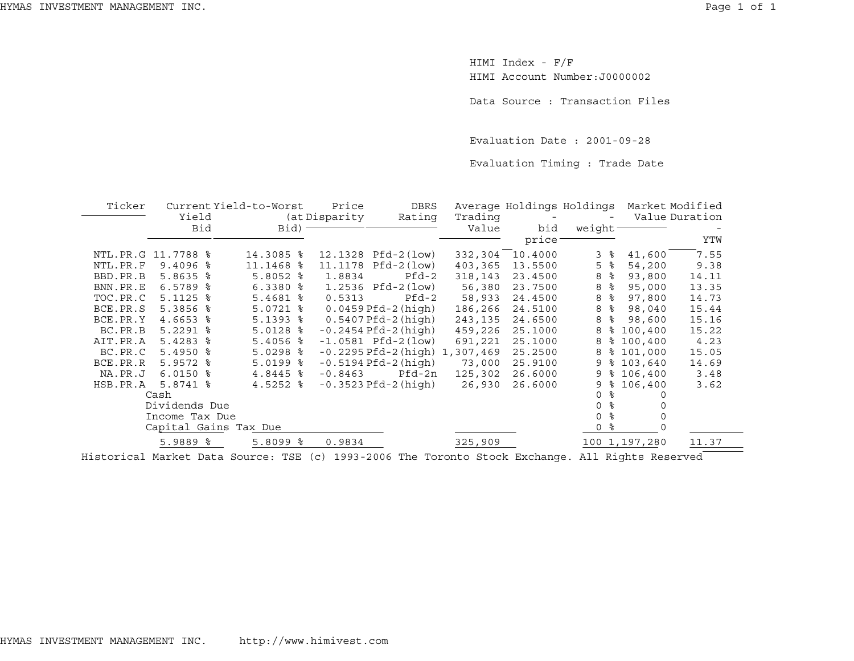HIMI Index - F/F HIMI Account Number:J0000002

Data Source : Transaction Files

Evaluation Date : 2001-09-28

Evaluation Timing : Trade Date

| Ticker   |                | Current Yield-to-Worst | Price         | <b>DBRS</b>               |           | Average Holdings Holdings |                | Market Modified |                |
|----------|----------------|------------------------|---------------|---------------------------|-----------|---------------------------|----------------|-----------------|----------------|
|          | Yield          |                        | (at Disparity | Rating                    | Trading   |                           | $-$            |                 | Value Duration |
|          | Bid            | Bid)                   |               |                           | Value     | bid                       | weight         |                 |                |
|          |                |                        |               |                           |           | price <sup>-</sup>        |                |                 | YTW            |
| NTL.PR.G | 11.7788 %      | 14.3085 %              |               | 12.1328 Pfd-2(low)        | 332,304   | 10.4000                   | ್ಠಿ<br>3       | 41,600          | 7.55           |
| NTL.PR.F | $9.4096$ %     | 11.1468 %              | 11.1178       | $Pfd-2 (low)$             | 403,365   | 13.5500                   | 5<br>ႜ         | 54,200          | 9.38           |
| BBD.PR.B | $5.8635$ %     | $5.8052$ $%$           | 1.8834        | $Pfd-2$                   | 318,143   | 23.4500                   | ್ಠಿ<br>8       | 93,800          | 14.11          |
| BNN.PR.E | $6.5789$ $%$   | $6.3380$ $8$           |               | $1.2536$ Pfd-2 $(low)$    | 56,380    | 23.7500                   | ႜ<br>8         | 95,000          | 13.35          |
| TOC.PR.C | $5.1125$ %     | $5.4681$ %             | 0.5313        | $Pfd-2$                   | 58,933    | 24.4500                   | ್ಠಿ<br>8       | 97,800          | 14.73          |
| BCE.PR.S | 5.3856 %       | $5.0721$ %             |               | $0.0459$ $Pfd-2$ (high)   | 186,266   | 24.5100                   | ႜ<br>8         | 98,040          | 15.44          |
| BCE.PR.Y | 4.6653 %       | $5.1393$ $8$           |               | $0.5407Pfd-2(high)$       | 243,135   | 24.6500                   | ಿ<br>8         | 98,600          | 15.16          |
| BC.PR.B  | $5.2291$ %     | $5.0128$ %             |               | $-0.2454$ Pfd $-2$ (high) | 459,226   | 25.1000                   | ႜ<br>8         | 100,400         | 15.22          |
| AIT.PR.A | $5.4283$ $8$   | $5.4056$ %             |               | $-1.0581$ Pfd $-2$ (low)  | 691,221   | 25.1000                   | ႜ<br>8         | 100,400         | 4.23           |
| BC.PR.C  | $5.4950$ %     | $5.0298$ %             |               | $-0.2295$ Pfd $-2$ (high) | 1,307,469 | 25.2500                   | 8<br>ႜ         | 101,000         | 15.05          |
| BCE.PR.R | $5.9572$ $%$   | $5.0199$ $8$           |               | $-0.5194$ Pfd $-2$ (high) | 73,000    | 25.9100                   | 9              | \$103,640       | 14.69          |
| NA.PR.J  | $6.0150$ %     | 4.8445 %               | $-0.8463$     | Pfd-2n                    | 125,302   | 26.6000                   | 9              | \$106,400       | 3.48           |
| HSB.PR.A | $5.8741$ %     | $4.5252$ $\frac{8}{3}$ |               | $-0.3523$ Pfd $-2$ (high) | 26,930    | 26.6000                   | 9              | \$106,400       | 3.62           |
|          | Cash           |                        |               |                           |           |                           | 0 %            |                 |                |
|          | Dividends Due  |                        |               |                           |           |                           | ႜ<br>$\Omega$  |                 |                |
|          | Income Tax Due |                        |               |                           |           |                           | 0 <sup>8</sup> |                 |                |
|          |                | Capital Gains Tax Due  |               |                           |           |                           | ႜ<br>0         |                 |                |
|          | 5.9889 %       | $5.8099$ %             | 0.9834        |                           | 325,909   |                           |                | 100 1,197,280   | 11.37          |
|          |                |                        |               |                           |           |                           |                |                 |                |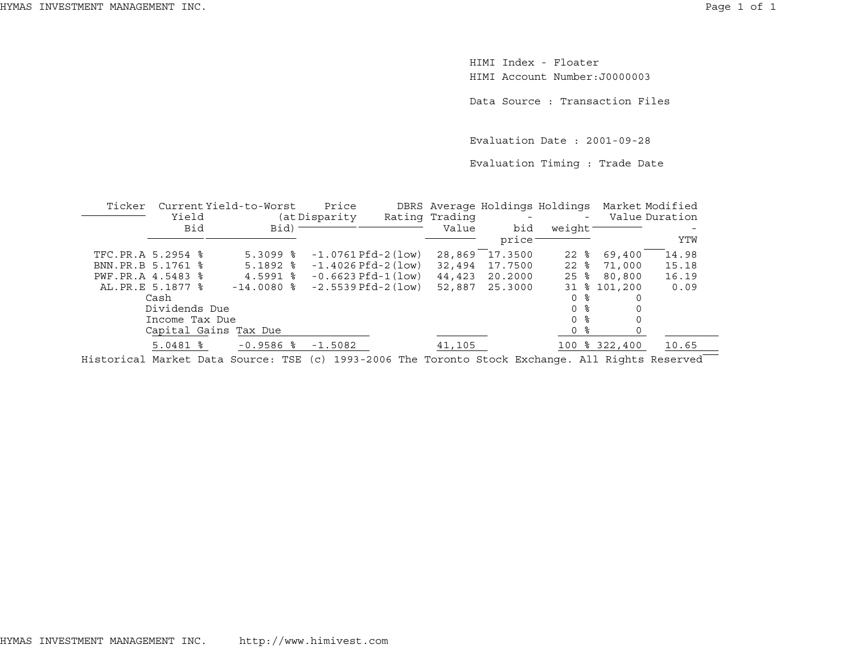HIMI Index - FloaterHIMI Account Number:J0000003

Data Source : Transaction Files

Evaluation Date : 2001-09-28

Evaluation Timing : Trade Date

| Ticker            | Yield          | Current Yield-to-Worst | Price<br>(at Disparity   | Rating Trading | DBRS Average Holdings Holdings | $\overline{\phantom{0}}$ | Market Modified | Value Duration |
|-------------------|----------------|------------------------|--------------------------|----------------|--------------------------------|--------------------------|-----------------|----------------|
|                   | <b>Bid</b>     | Bid)                   |                          | Value          | bid<br>price                   | weight                   |                 | YTW            |
|                   |                |                        |                          |                |                                |                          |                 |                |
| TFC.PR.A 5.2954 % |                | $5.3099$ $8$           | $-1.0761$ Pfd $-2$ (low) | 28,869         | 17.3500                        | $22$ $\frac{6}{5}$       | 69,400          | 14.98          |
| BNN.PR.B 5.1761 % |                | $5.1892$ $%$           | $-1.4026$ Pfd $-2$ (low) | 32,494         | 17.7500                        | $22$ %                   | 71,000          | 15.18          |
| PWF.PR.A 4.5483 % |                | $4.5991$ %             | $-0.6623$ Pfd $-1$ (low) | 44,423         | 20,2000                        | $25$ $\frac{6}{5}$       | 80,800          | 16.19          |
| AL. PR.E 5.1877 % |                | $-14.0080$ %           | $-2.5539$ Pfd $-2$ (low) | 52,887         | 25.3000                        |                          | 31 % 101,200    | 0.09           |
|                   | Cash           |                        |                          |                |                                | 0 %                      |                 |                |
|                   | Dividends Due  |                        |                          |                |                                | 0 %                      |                 |                |
|                   | Income Tax Due |                        |                          |                |                                | 0 <sub>8</sub>           |                 |                |
|                   |                | Capital Gains Tax Due  |                          |                |                                | 0 %                      |                 |                |
|                   | $5.0481$ %     | $-0.9586$ %            | $-1.5082$                | 41,105         |                                |                          | 100 % 322,400   | 10.65          |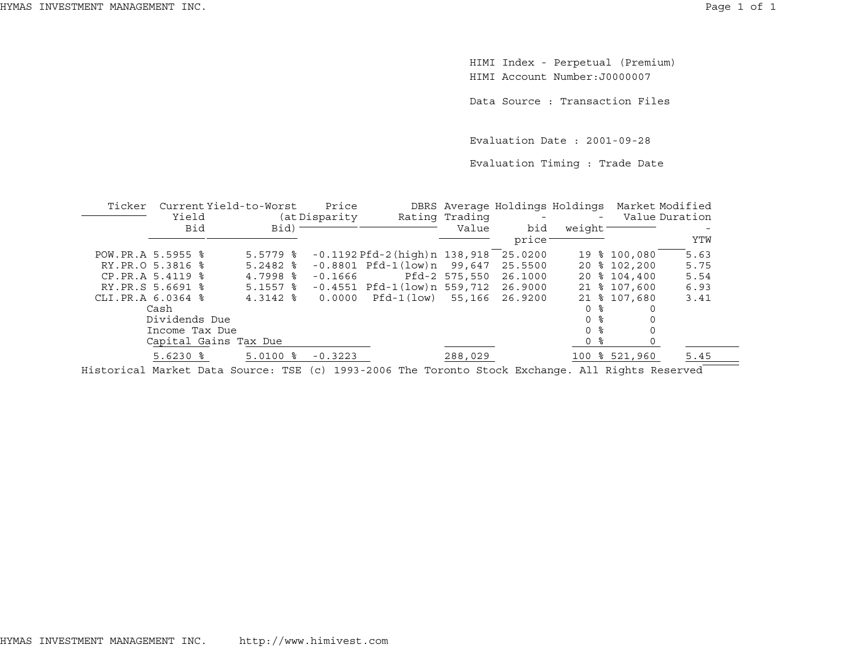HIMI Index - Perpetual (Premium) HIMI Account Number:J0000007

Data Source : Transaction Files

Evaluation Date : 2001-09-28

Evaluation Timing : Trade Date

| Ticker            | Yield                  | Current Yield-to-Worst |                        | Price<br>(at Disparity |                                              | Rating Trading | DBRS Average Holdings Holdings Market Modified |                     |               | Value Duration |
|-------------------|------------------------|------------------------|------------------------|------------------------|----------------------------------------------|----------------|------------------------------------------------|---------------------|---------------|----------------|
|                   | Bid                    |                        | Bid)                   |                        |                                              | Value          | bid                                            | weight <sup>-</sup> |               |                |
|                   |                        |                        |                        |                        |                                              |                | price                                          |                     |               | YTW            |
| POW.PR.A 5.5955 % |                        |                        | $5.5779$ $\frac{6}{5}$ |                        | $-0.1192$ Pfd $-2$ (high)n $138,918$ 25.0200 |                |                                                |                     | 19 % 100,080  | 5.63           |
| RY.PR.O 5.3816 %  |                        |                        | $5.2482$ $\frac{8}{3}$ |                        | $-0.8801$ Pfd $-1$ (low)n 99,647 25.5500     |                |                                                |                     | 20 % 102,200  | 5.75           |
| CP.PR.A 5.4119 %  |                        |                        | $4.7998$ $\frac{8}{3}$ | $-0.1666$              |                                              |                | Pfd-2 575,550 26.1000                          |                     | 20 % 104,400  | 5.54           |
| RY.PR.S 5.6691 %  |                        |                        | $5.1557$ $\frac{6}{5}$ |                        | $-0.4551$ Pfd $-1$ (low)n 559,712 26.9000    |                |                                                |                     | 21 % 107,600  | 6.93           |
| CLI.PR.A 6.0364 % |                        |                        | $4.3142$ $%$           |                        | $0.0000$ $Pfd-1(low)$                        |                | 55,166 26.9200                                 |                     | 21 % 107,680  | 3.41           |
|                   | Cash                   |                        |                        |                        |                                              |                |                                                | 0 %                 |               |                |
|                   | Dividends Due          |                        |                        |                        |                                              |                |                                                | 0 %                 |               |                |
|                   | Income Tax Due         |                        |                        |                        |                                              |                |                                                | 0 <sup>8</sup>      |               |                |
|                   | Capital Gains Tax Due  |                        |                        |                        |                                              |                |                                                | 0 %                 |               |                |
|                   | $5.6230$ $\frac{6}{5}$ |                        | $5.0100$ $\frac{6}{5}$ | $-0.3223$              |                                              | 288,029        |                                                |                     | 100 % 521,960 | 5.45           |
|                   |                        |                        |                        |                        |                                              |                |                                                |                     |               |                |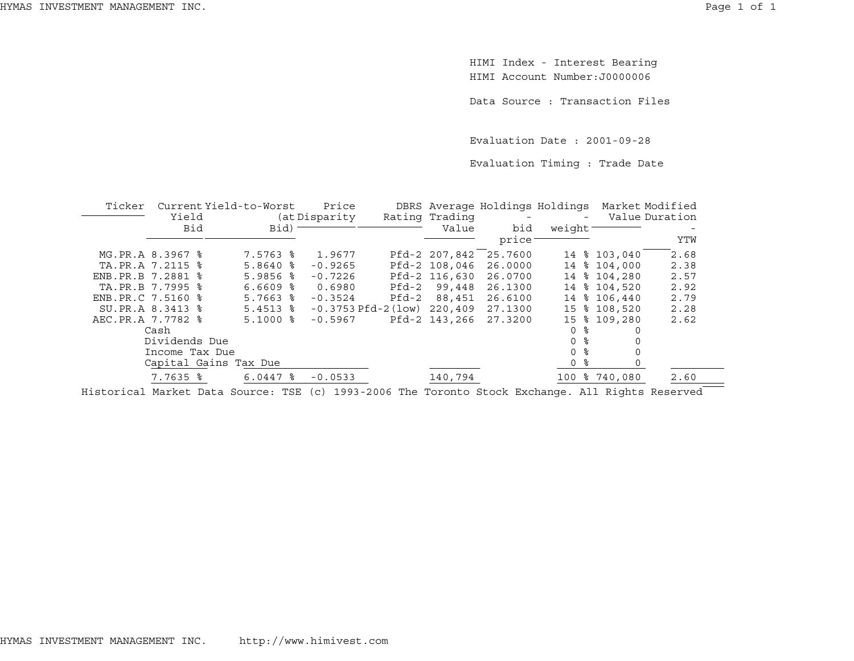HIMI Index - Interest Bearing HIMI Account Number:J0000006

Data Source : Transaction Files

Evaluation Date : 2001-09-28

Evaluation Timing : Trade Date

| Ticker              |                        | Current Yield-to-Worst | Price          |                          |                |         | DBRS Average Holdings Holdings Market Modified |              |                |
|---------------------|------------------------|------------------------|----------------|--------------------------|----------------|---------|------------------------------------------------|--------------|----------------|
|                     | Yield                  |                        | (at Disparity) |                          | Rating Trading |         | $-$                                            |              | Value Duration |
|                     | Bid                    | Bid)                   |                |                          | Value          | bid     | weight                                         |              |                |
|                     |                        |                        |                |                          |                | price   |                                                |              | YTW            |
|                     | MG.PR.A 8.3967 %       | 7.5763 %               | 1.9677         |                          | Pfd-2 207,842  | 25.7600 |                                                | 14 % 103,040 | 2.68           |
|                     | TA.PR.A 7.2115 %       | $5.8640$ %             | $-0.9265$      |                          | Pfd-2 108,046  | 26.0000 |                                                | 14 % 104,000 | 2.38           |
| ENB. PR. B 7.2881 % |                        | $5.9856$ %             | $-0.7226$      |                          | Pfd-2 116,630  | 26.0700 |                                                | 14 % 104,280 | 2.57           |
|                     | TA.PR.B 7.7995 %       | $6.6609$ $\frac{6}{3}$ | 0.6980         | Pfd-2                    | 99,448         | 26.1300 |                                                | 14 % 104,520 | 2.92           |
| ENB.PR.C 7.5160 %   |                        | $5.7663$ $\frac{6}{5}$ | $-0.3524$      | Pfd-2                    | 88,451         | 26.6100 |                                                | 14 % 106,440 | 2.79           |
|                     | SU.PR.A 8.3413 %       | $5.4513$ $%$           |                | $-0.3753$ Pfd $-2$ (low) | 220,409        | 27.1300 |                                                | 15 % 108,520 | 2.28           |
| AEC.PR.A 7.7782 %   |                        | $5.1000$ %             | $-0.5967$      |                          | Pfd-2 143,266  | 27.3200 | 15                                             | \$109.280    | 2.62           |
|                     | Cash                   |                        |                |                          |                |         | ႜ<br>0                                         |              |                |
|                     | Dividends Due          |                        |                |                          |                |         | 0 %                                            |              |                |
|                     | Income Tax Due         |                        |                |                          |                |         | 0 %                                            |              |                |
|                     |                        | Capital Gains Tax Due  |                |                          |                |         | 0 %                                            | 0            |                |
|                     | $7.7635$ $\frac{6}{5}$ | $6.0447$ %             | $-0.0533$      |                          | 140,794        |         | 100                                            | 8740,080     | 2.60           |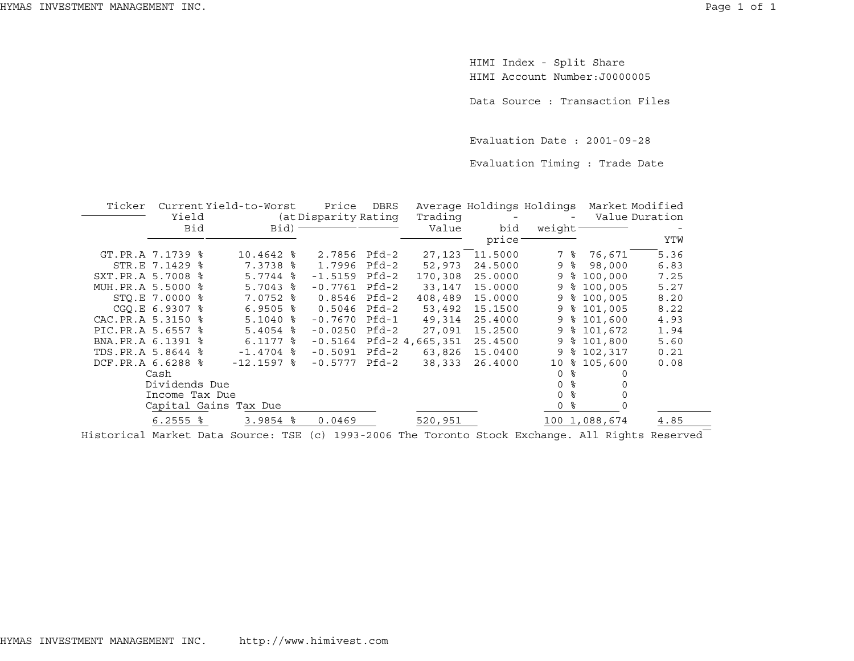HIMI Index - Split Share HIMI Account Number:J0000005

Data Source : Transaction Files

Evaluation Date : 2001-09-28

Evaluation Timing : Trade Date

| Ticker             |                        | Current Yield-to-Worst | Price                | <b>DBRS</b> |                 | Average Holdings Holdings |               | Market Modified |                |
|--------------------|------------------------|------------------------|----------------------|-------------|-----------------|---------------------------|---------------|-----------------|----------------|
|                    | Yield                  |                        | (at Disparity Rating |             | Trading         |                           |               |                 | Value Duration |
|                    | Bid                    | Bid)                   |                      |             | Value           | bid                       | weight        |                 |                |
|                    |                        |                        |                      |             |                 | price                     |               |                 | YTW            |
|                    | GT.PR.A 7.1739 %       | $10.4642$ %            | 2.7856               | Pfd-2       | 27,123          | 11.5000                   | 7 %           | 76,671          | 5.36           |
|                    | STR.E 7.1429 %         | $7.3738$ $\frac{6}{5}$ | 1.7996               | $Pfd-2$     | 52,973          | 24.5000                   | ႜ<br>9        | 98,000          | 6.83           |
| SXT. PR. A 5.7008  | ิ ⊱ิ                   | $5.7744$ $\frac{8}{5}$ | $-1.5159$            | $Pfd-2$     | 170,308         | 25.0000                   | ⊱<br>9        | 100,000         | 7.25           |
| MUH. PR.A 5.5000 % |                        | $5.7043$ $\frac{6}{5}$ | $-0.7761$            | $Pfd-2$     | 33,147          | 15.0000                   | ႜ<br>9        | 100,005         | 5.27           |
|                    | STO.E 7.0000 %         | 7.0752 %               | 0.8546               | Pfd-2       | 408,489         | 15,0000                   | ႜ<br>9        | 100,005         | 8.20           |
|                    | CGO.E 6.9307 %         | $6.9505$ $\frac{6}{3}$ | 0.5046               | $Pfd-2$     | 53,492          | 15.1500                   | ႜ<br>9        | 101,005         | 8.22           |
| CAC. PR.A 5.3150   |                        | $5.1040$ %             | $-0.7670$            | $Pfd-1$     | 49,314          | 25.4000                   | ႜ<br>9        | 101,600         | 4.93           |
| PIC.PR.A 5.6557 %  |                        | $5.4054$ %             | $-0.0250$            | Pfd-2       | 27,091          | 15.2500                   | ⊱<br>9        | 101,672         | 1.94           |
| BNA.PR.A 6.1391 %  |                        | $6.1177$ $\frac{1}{6}$ | $-0.5164$            |             | Pfd-2 4,665,351 | 25.4500                   | ႜ<br>9        | 101,800         | 5.60           |
| TDS.PR.A 5.8644 %  |                        | $-1.4704$ %            | $-0.5091$            | $Pfd-2$     | 63,826          | 15.0400                   | ႜ<br>9        | 102,317         | 0.21           |
| DCF.PR.A 6.6288 %  |                        | $-12.1597$ %           | $-0.5777$            | $Pfd-2$     | 38,333          | 26.4000                   | ⊱<br>10       | 105,600         | 0.08           |
|                    | Cash                   |                        |                      |             |                 |                           | ⊱<br>$\Omega$ |                 |                |
|                    | Dividends Due          |                        |                      |             |                 |                           | ႜ<br>0        |                 |                |
|                    | Income Tax Due         |                        |                      |             |                 |                           | နွ            |                 |                |
|                    |                        | Capital Gains Tax Due  |                      |             |                 |                           | ిన            |                 |                |
|                    | $6.2555$ $\frac{6}{5}$ | $3.9854$ $8$           | 0.0469               |             | 520,951         |                           |               | 100 1,088,674   | 4.85           |
|                    |                        |                        |                      |             |                 |                           |               |                 |                |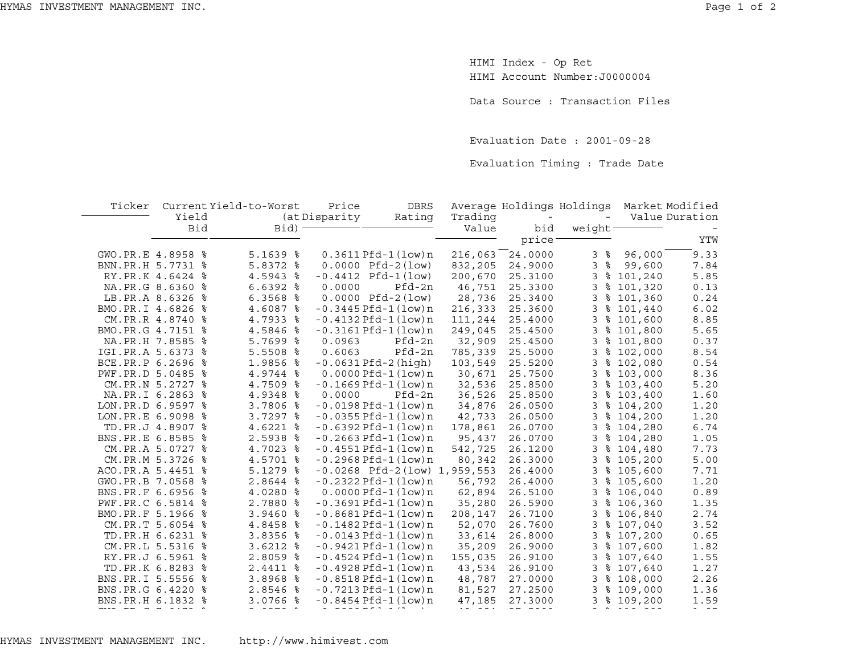HIMI Index - Op Ret HIMI Account Number:J0000004

Data Source : Transaction Files

Evaluation Date : 2001-09-28

Evaluation Timing : Trade Date

| Ticker            | Yield            | Current Yield-to-Worst | Price<br>(at Disparity | <b>DBRS</b><br>Rating          | Trading | Average Holdings Holdings |                     |           | Market Modified<br>Value Duration |
|-------------------|------------------|------------------------|------------------------|--------------------------------|---------|---------------------------|---------------------|-----------|-----------------------------------|
|                   | Bid              | $Big)$ $-$             |                        |                                | Value   | bid                       | weight <sup>-</sup> |           |                                   |
|                   |                  |                        |                        |                                |         | price <sup>-</sup>        |                     |           | YTW                               |
|                   |                  |                        |                        |                                |         |                           |                     |           |                                   |
| GWO.PR.E 4.8958 % |                  | $5.1639$ $8$           |                        | $0.3611Pfd-1(low)n$            | 216,063 | 24.0000                   | 3%                  | 96,000    | 9.33                              |
| BNN.PR.H 5.7731 % |                  | 5.8372 %               |                        | $0.0000$ Pfd-2 $(low)$         | 832,205 | 24.9000                   | 3<br>နွ             | 99,600    | 7.84                              |
|                   | RY.PR.K 4.6424 % | 4.5943 %               |                        | $-0.4412$ Pfd $-1$ (low)       | 200,670 | 25.3100                   | 3                   | \$101,240 | 5.85                              |
|                   | NA.PR.G 8.6360 % | $6.6392$ %             | 0.0000                 | Pfd-2n                         | 46,751  | 25.3300                   | 3                   | \$101,320 | 0.13                              |
|                   | LB.PR.A 8.6326 % | $6.3568$ %             |                        | $0.0000$ Pfd-2 $(low)$         | 28,736  | 25.3400                   | 3                   | \$101,360 | 0.24                              |
| BMO.PR.I 4.6826 % |                  | 4.6087 %               |                        | $-0.3445Pfd-1(low)n$           | 216,333 | 25.3600                   | 3                   | \$101,440 | 6.02                              |
|                   | CM.PR.R 4.8740 % | 4.7933 %               |                        | $-0.4132$ Pfd $-1$ (low) n     | 111,244 | 25.4000                   | 3                   | \$101,600 | 8.85                              |
| BMO.PR.G 4.7151 % |                  | 4.5846 %               |                        | $-0.3161Pfd-1(low)n$           | 249,045 | 25.4500                   | 3                   | \$101,800 | 5.65                              |
|                   | NA.PR.H 7.8585 % | $5.7699$ $8$           | 0.0963                 | $Pfd-2n$                       | 32,909  | 25.4500                   | 3                   | \$101,800 | 0.37                              |
| IGI.PR.A 5.6373 % |                  | $5.5508$ %             | 0.6063                 | Pfd-2n                         | 785,339 | 25.5000                   | 3                   | \$102,000 | 8.54                              |
| BCE.PR.P 6.2696 % |                  | 1.9856 %               |                        | $-0.0631Pfd-2(hiqh)$           | 103,549 | 25.5200                   | 3                   | \$102,080 | 0.54                              |
| PWF.PR.D 5.0485 % |                  | 4.9744 %               |                        | $0.0000Pfd-1(low)n$            | 30,671  | 25.7500                   | 3                   | \$103,000 | 8.36                              |
|                   | CM.PR.N 5.2727 % | 4.7509 %               |                        | $-0.1669$ Pfd $-1$ (low) n     | 32,536  | 25.8500                   | 3                   | \$103,400 | 5.20                              |
|                   | NA.PR.I 6.2863 % | 4.9348 %               | 0.0000                 | Pfd-2n                         | 36,526  | 25.8500                   | 3                   | \$103,400 | 1.60                              |
| LON.PR.D 6.9597 % |                  | 3.7806 %               |                        | $-0.0198$ Pfd $-1$ (low) n     | 34,876  | 26.0500                   | 3                   | \$104,200 | 1.20                              |
| LON.PR.E 6.9098   | ႜ                | 3.7297 %               |                        | $-0.0355Pfd-1(low)n$           | 42,733  | 26.0500                   | 3                   | \$104,200 | 1.20                              |
|                   | TD.PR.J 4.8907 % | $4.6221$ %             |                        | $-0.6392$ Pfd $-1$ (low) n     | 178,861 | 26.0700                   | 3                   | \$104,280 | 6.74                              |
| BNS.PR.E 6.8585 % |                  | 2.5938 %               |                        | $-0.2663$ Pfd $-1$ (low) n     | 95,437  | 26.0700                   | 3                   | \$104,280 | 1.05                              |
|                   | CM.PR.A 5.0727 % | 4.7023 %               |                        | $-0.4551Pfd-1(low)n$           | 542,725 | 26.1200                   | 3                   | \$104,480 | 7.73                              |
| CM.PR.M 5.3726    | ಿ                | 4.5701 %               |                        | $-0.2968$ Pfd $-1$ (low) n     | 80,342  | 26.3000                   | 3                   | \$105,200 | 5.00                              |
| ACO.PR.A 5.4451 % |                  | $5.1279$ %             |                        | $-0.0268$ Pfd-2(low) 1,959,553 |         | 26.4000                   | 3                   | \$105,600 | 7.71                              |
| GWO.PR.B 7.0568 % |                  | 2.8644 %               |                        | $-0.2322Pfd-1(low)n$           | 56,792  | 26.4000                   | 3                   | \$105,600 | 1.20                              |
| BNS.PR.F 6.6956 % |                  | 4.0280 %               |                        | $0.0000Pfd-1(low)n$            | 62,894  | 26.5100                   | 3                   | \$106,040 | 0.89                              |
| PWF.PR.C 6.5814 % |                  | 2.7880 %               |                        | $-0.3691Pfd-1(low)n$           | 35,280  | 26.5900                   | 3                   | \$106,360 | 1.35                              |
| BMO.PR.F 5.1966 % |                  | 3.9460 %               |                        | $-0.8681Pfd-1(low)n$           | 208,147 | 26.7100                   | $\mathfrak{Z}$      | \$106,840 | 2.74                              |
|                   | CM.PR.T 5.6054 % | 4.8458 %               |                        | $-0.1482$ Pfd $-1$ (low) n     | 52,070  | 26.7600                   | 3                   | \$107,040 | 3.52                              |
|                   | TD.PR.H 6.6231 % | 3.8356 %               |                        | $-0.0143$ Pfd $-1$ (low) n     | 33,614  | 26.8000                   | 3                   | \$107,200 | 0.65                              |
|                   | CM.PR.L 5.5316 % | $3.6212$ %             |                        | $-0.9421Pfd-1(low)n$           | 35,209  | 26.9000                   | 3                   | \$107,600 | 1.82                              |
|                   | RY.PR.J 6.5961 % | $2.8059$ %             |                        | $-0.4524Pfd-1(low)n$           | 155,035 | 26.9100                   | 3                   | \$107,640 | 1.55                              |
|                   | TD.PR.K 6.8283 % | $2.4411$ %             |                        | $-0.4928$ Pfd $-1$ (low) n     | 43,534  | 26.9100                   | 3                   | \$107,640 | 1.27                              |
| BNS.PR.I 5.5556 % |                  | 3.8968 %               |                        | $-0.8518$ Pfd $-1$ (low) n     | 48,787  | 27.0000                   | 3                   | \$108,000 | 2.26                              |
| BNS.PR.G 6.4220 % |                  | 2.8546 %               |                        | $-0.7213$ Pfd $-1$ (low) n     | 81,527  | 27.2500                   | 3                   | \$109,000 | 1.36                              |
| BNS.PR.H 6.1832 % |                  | $3.0766$ %             |                        | $-0.8454Pfd-1(low)$ n          | 47,185  | 27.3000                   | 3                   | \$109,200 | 1.59                              |
|                   |                  |                        |                        |                                |         |                           |                     |           |                                   |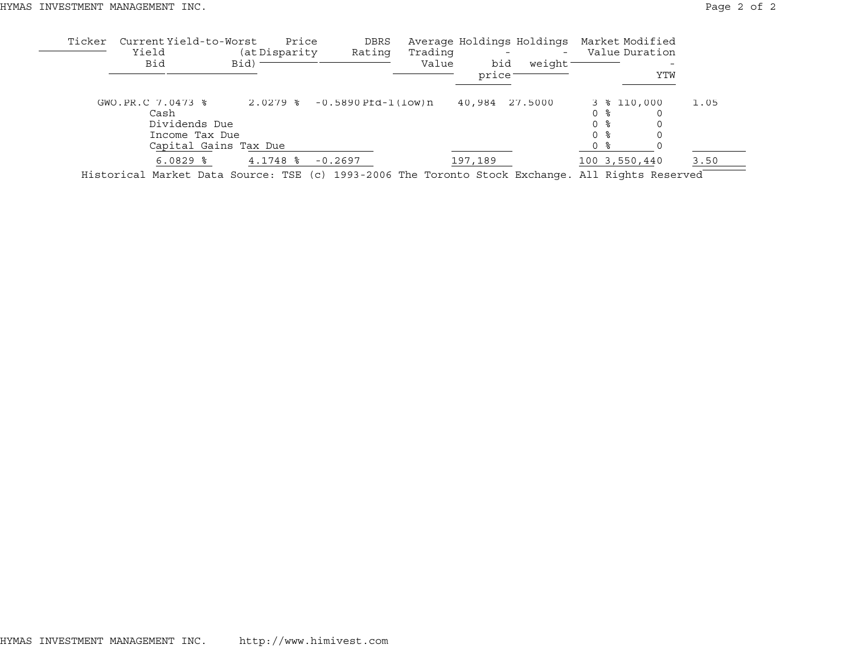| Ticker | Current Yield-to-Worst<br>Yield<br>Bid | (at Disparity)<br>Bid) | Price         | DBRS<br>Rating        | Average Holdings Holdings<br>Trading<br>Value | bid     | $-$<br>weight <sup>-</sup> | Market Modified<br>Value Duration | $\overline{\phantom{a}}$ |  |
|--------|----------------------------------------|------------------------|---------------|-----------------------|-----------------------------------------------|---------|----------------------------|-----------------------------------|--------------------------|--|
|        |                                        |                        |               |                       |                                               | price   |                            |                                   | YTW                      |  |
|        | GWO.PR.C 7.0473 %                      | $2.0279$ %             |               | $-0.5890$ Ptd-1(low)n |                                               | 40,984  | 27.5000                    | 3 % 110,000                       | 1.05                     |  |
|        | Cash                                   |                        |               |                       |                                               |         |                            | 0 <sup>8</sup>                    |                          |  |
|        | Dividends Due                          |                        |               |                       |                                               |         |                            | 0 <sup>8</sup>                    |                          |  |
|        | Income Tax Due                         |                        |               |                       |                                               |         |                            | 0 %                               |                          |  |
|        |                                        | Capital Gains Tax Due  |               |                       |                                               |         |                            | 0 %                               |                          |  |
|        | $6.0829$ $8$                           | $4.1748$ %             | $-0.2697$     |                       |                                               | 197,189 |                            | 100 3,550,440                     | 3.50                     |  |
|        |                                        |                        | $\frac{1}{2}$ |                       |                                               | .       |                            | --- -- -- -                       |                          |  |